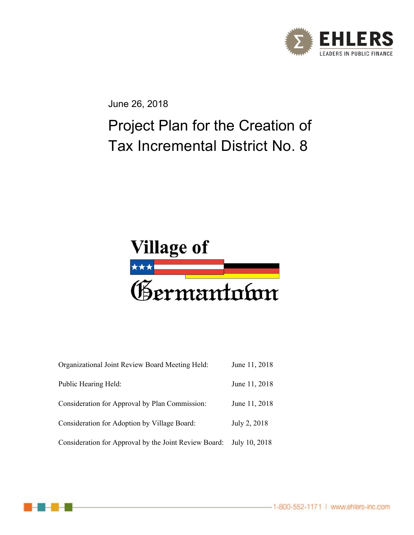

June 26, 2018

# Project Plan for the Creation of Tax Incremental District No. 8



| Organizational Joint Review Board Meeting Held:       | June 11, 2018 |
|-------------------------------------------------------|---------------|
| Public Hearing Held:                                  | June 11, 2018 |
| Consideration for Approval by Plan Commission:        | June 11, 2018 |
| Consideration for Adoption by Village Board:          | July 2, 2018  |
| Consideration for Approval by the Joint Review Board: | July 10, 2018 |



-1-800-552-1171 | www.ehlers-inc.com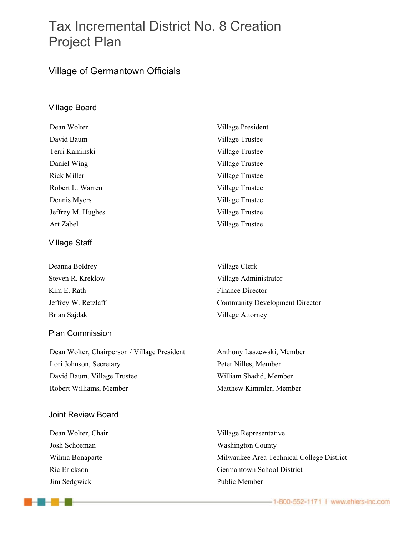## Tax Incremental District No. 8 Creation Project Plan

### Village of Germantown Officials

#### Village Board

| Dean Wolter        | Village President |
|--------------------|-------------------|
| David Baum         | Village Trustee   |
| Terri Kaminski     | Village Trustee   |
| Daniel Wing        | Village Trustee   |
| <b>Rick Miller</b> | Village Trustee   |
| Robert L. Warren   | Village Trustee   |
| Dennis Myers       | Village Trustee   |
| Jeffrey M. Hughes  | Village Trustee   |
| Art Zabel          | Village Trustee   |
|                    |                   |

#### Village Staff

Deanna Boldrey **Village Clerk** Kim E. Rath Finance Director Brian Sajdak Village Attorney

#### Plan Commission

Dean Wolter, Chairperson / Village President Anthony Laszewski, Member Lori Johnson, Secretary Peter Nilles, Member David Baum, Village Trustee William Shadid, Member Robert Williams, Member Matthew Kimmler, Member

#### Joint Review Board

Jim Sedgwick **Public Member** 

-2-2-2

Steven R. Kreklow Village Administrator Jeffrey W. Retzlaff Community Development Director

Dean Wolter, Chair Village Representative Josh Schoeman Washington County Wilma Bonaparte **Milwaukee Area Technical College District** Ric Erickson Germantown School District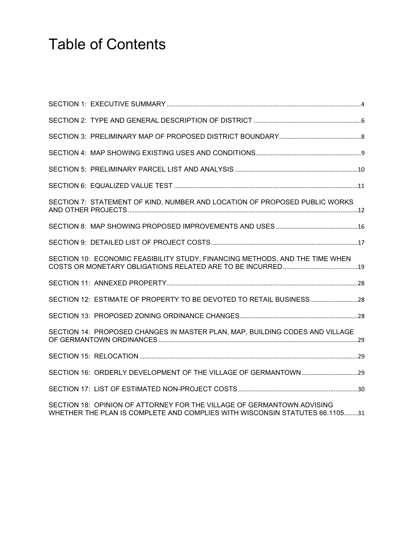# Table of Contents

| SECTION 7: STATEMENT OF KIND, NUMBER AND LOCATION OF PROPOSED PUBLIC WORKS                                                                            |  |
|-------------------------------------------------------------------------------------------------------------------------------------------------------|--|
|                                                                                                                                                       |  |
|                                                                                                                                                       |  |
| SECTION 10: ECONOMIC FEASIBILITY STUDY, FINANCING METHODS, AND THE TIME WHEN                                                                          |  |
|                                                                                                                                                       |  |
| SECTION 12: ESTIMATE OF PROPERTY TO BE DEVOTED TO RETAIL BUSINESS28                                                                                   |  |
|                                                                                                                                                       |  |
| SECTION 14: PROPOSED CHANGES IN MASTER PLAN, MAP, BUILDING CODES AND VILLAGE                                                                          |  |
|                                                                                                                                                       |  |
|                                                                                                                                                       |  |
|                                                                                                                                                       |  |
| SECTION 18: OPINION OF ATTORNEY FOR THE VILLAGE OF GERMANTOWN ADVISING<br>WHETHER THE PLAN IS COMPLETE AND COMPLIES WITH WISCONSIN STATUTES 66.110531 |  |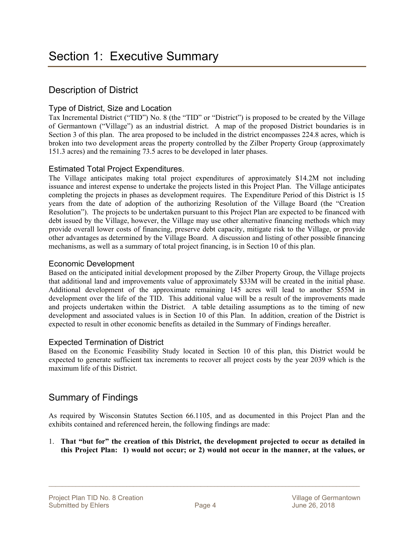### Description of District

#### Type of District, Size and Location

Tax Incremental District ("TID") No. 8 (the "TID" or "District") is proposed to be created by the Village of Germantown ("Village") as an industrial district. A map of the proposed District boundaries is in Section 3 of this plan. The area proposed to be included in the district encompasses 224.8 acres, which is broken into two development areas the property controlled by the Zilber Property Group (approximately 151.3 acres) and the remaining 73.5 acres to be developed in later phases.

#### Estimated Total Project Expenditures.

The Village anticipates making total project expenditures of approximately \$14.2M not including issuance and interest expense to undertake the projects listed in this Project Plan. The Village anticipates completing the projects in phases as development requires. The Expenditure Period of this District is 15 years from the date of adoption of the authorizing Resolution of the Village Board (the "Creation Resolution"). The projects to be undertaken pursuant to this Project Plan are expected to be financed with debt issued by the Village, however, the Village may use other alternative financing methods which may provide overall lower costs of financing, preserve debt capacity, mitigate risk to the Village, or provide other advantages as determined by the Village Board. A discussion and listing of other possible financing mechanisms, as well as a summary of total project financing, is in Section 10 of this plan.

#### Economic Development

Based on the anticipated initial development proposed by the Zilber Property Group, the Village projects that additional land and improvements value of approximately \$33M will be created in the initial phase. Additional development of the approximate remaining 145 acres will lead to another \$55M in development over the life of the TID. This additional value will be a result of the improvements made and projects undertaken within the District. A table detailing assumptions as to the timing of new development and associated values is in Section 10 of this Plan. In addition, creation of the District is expected to result in other economic benefits as detailed in the Summary of Findings hereafter.

#### Expected Termination of District

Based on the Economic Feasibility Study located in Section 10 of this plan, this District would be expected to generate sufficient tax increments to recover all project costs by the year 2039 which is the maximum life of this District.

### Summary of Findings

As required by Wisconsin Statutes Section 66.1105, and as documented in this Project Plan and the exhibits contained and referenced herein, the following findings are made:

1. **That "but for" the creation of this District, the development projected to occur as detailed in this Project Plan: 1) would not occur; or 2) would not occur in the manner, at the values, or**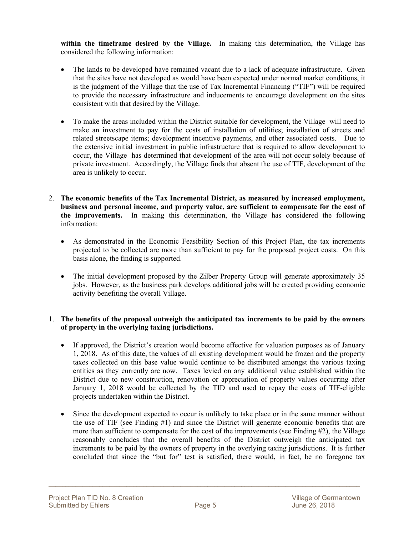**within the timeframe desired by the Village.** In making this determination, the Village has considered the following information:

- The lands to be developed have remained vacant due to a lack of adequate infrastructure. Given that the sites have not developed as would have been expected under normal market conditions, it is the judgment of the Village that the use of Tax Incremental Financing ("TIF") will be required to provide the necessary infrastructure and inducements to encourage development on the sites consistent with that desired by the Village.
- To make the areas included within the District suitable for development, the Village will need to make an investment to pay for the costs of installation of utilities; installation of streets and related streetscape items; development incentive payments, and other associated costs. Due to the extensive initial investment in public infrastructure that is required to allow development to occur, the Village has determined that development of the area will not occur solely because of private investment. Accordingly, the Village finds that absent the use of TIF, development of the area is unlikely to occur.
- 2. **The economic benefits of the Tax Incremental District, as measured by increased employment, business and personal income, and property value, are sufficient to compensate for the cost of the improvements.** In making this determination, the Village has considered the following information:
	- As demonstrated in the Economic Feasibility Section of this Project Plan, the tax increments projected to be collected are more than sufficient to pay for the proposed project costs. On this basis alone, the finding is supported.
	- The initial development proposed by the Zilber Property Group will generate approximately 35 jobs. However, as the business park develops additional jobs will be created providing economic activity benefiting the overall Village.

#### 1. **The benefits of the proposal outweigh the anticipated tax increments to be paid by the owners of property in the overlying taxing jurisdictions.**

- If approved, the District's creation would become effective for valuation purposes as of January 1, 2018. As of this date, the values of all existing development would be frozen and the property taxes collected on this base value would continue to be distributed amongst the various taxing entities as they currently are now. Taxes levied on any additional value established within the District due to new construction, renovation or appreciation of property values occurring after January 1, 2018 would be collected by the TID and used to repay the costs of TIF-eligible projects undertaken within the District.
- Since the development expected to occur is unlikely to take place or in the same manner without the use of TIF (see Finding #1) and since the District will generate economic benefits that are more than sufficient to compensate for the cost of the improvements (see Finding #2), the Village reasonably concludes that the overall benefits of the District outweigh the anticipated tax increments to be paid by the owners of property in the overlying taxing jurisdictions. It is further concluded that since the "but for" test is satisfied, there would, in fact, be no foregone tax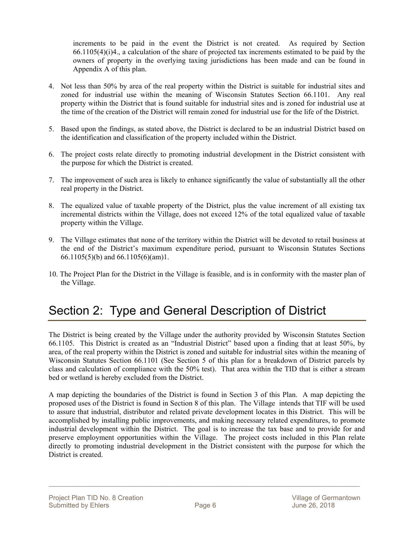increments to be paid in the event the District is not created. As required by Section 66.1105(4)(i)4., a calculation of the share of projected tax increments estimated to be paid by the owners of property in the overlying taxing jurisdictions has been made and can be found in Appendix A of this plan.

- 4. Not less than 50% by area of the real property within the District is suitable for industrial sites and zoned for industrial use within the meaning of Wisconsin Statutes Section 66.1101. Any real property within the District that is found suitable for industrial sites and is zoned for industrial use at the time of the creation of the District will remain zoned for industrial use for the life of the District.
- 5. Based upon the findings, as stated above, the District is declared to be an industrial District based on the identification and classification of the property included within the District.
- 6. The project costs relate directly to promoting industrial development in the District consistent with the purpose for which the District is created.
- 7. The improvement of such area is likely to enhance significantly the value of substantially all the other real property in the District.
- 8. The equalized value of taxable property of the District, plus the value increment of all existing tax incremental districts within the Village, does not exceed 12% of the total equalized value of taxable property within the Village.
- 9. The Village estimates that none of the territory within the District will be devoted to retail business at the end of the District's maximum expenditure period, pursuant to Wisconsin Statutes Sections 66.1105(5)(b) and 66.1105(6)(am)1.
- 10. The Project Plan for the District in the Village is feasible, and is in conformity with the master plan of the Village.

## Section 2: Type and General Description of District

The District is being created by the Village under the authority provided by Wisconsin Statutes Section 66.1105. This District is created as an "Industrial District" based upon a finding that at least 50%, by area, of the real property within the District is zoned and suitable for industrial sites within the meaning of Wisconsin Statutes Section 66.1101 (See Section 5 of this plan for a breakdown of District parcels by class and calculation of compliance with the 50% test). That area within the TID that is either a stream bed or wetland is hereby excluded from the District.

A map depicting the boundaries of the District is found in Section 3 of this Plan. A map depicting the proposed uses of the District is found in Section 8 of this plan. The Village intends that TIF will be used to assure that industrial, distributor and related private development locates in this District. This will be accomplished by installing public improvements, and making necessary related expenditures, to promote industrial development within the District. The goal is to increase the tax base and to provide for and preserve employment opportunities within the Village. The project costs included in this Plan relate directly to promoting industrial development in the District consistent with the purpose for which the District is created.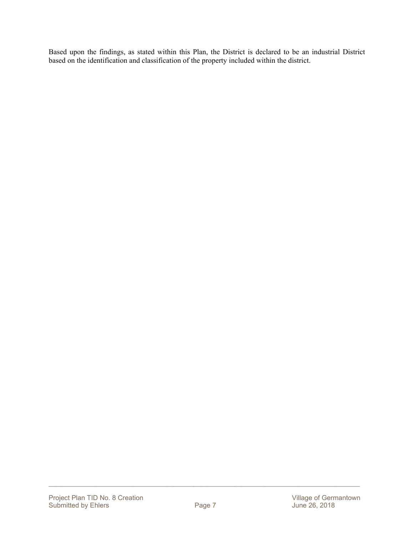Based upon the findings, as stated within this Plan, the District is declared to be an industrial District based on the identification and classification of the property included within the district.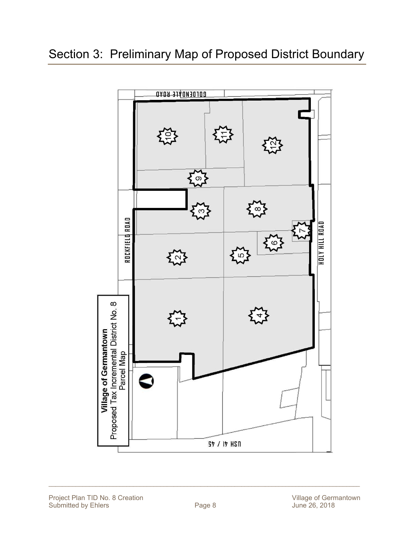## Section 3: Preliminary Map of Proposed District Boundary



Project Plan TID No. 8 Creation<br>
Submitted by Ehlers

The Contract Page 8
Degree 8
Degree 8
Degree 8
Degree 8
Degree 8
Submitted by Ehlers
Submitted by Ehlers
Degree 8
Degree 8
Degree 8
Degree 8
Degree 8
Degree 8
Degree 8 Submitted by Ehlers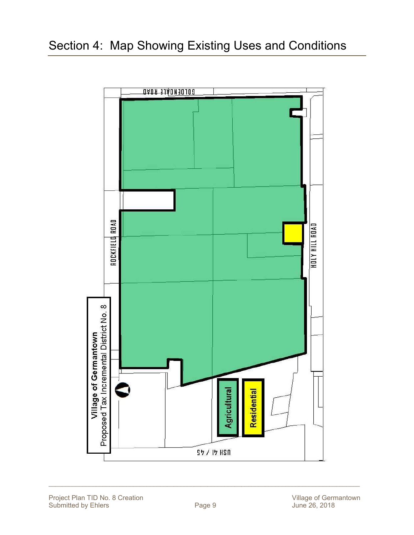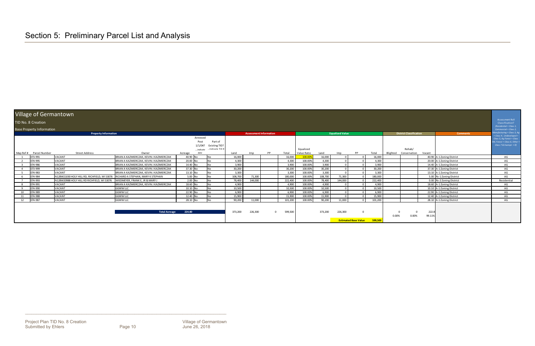\_\_\_\_\_\_\_\_\_\_\_\_\_\_\_\_\_\_\_\_\_\_\_\_\_\_\_\_\_\_\_\_\_\_\_\_\_\_\_\_\_\_\_\_\_\_\_\_\_\_\_\_\_\_\_\_\_\_\_\_\_\_\_\_\_\_\_\_\_\_\_\_\_\_\_\_\_\_\_\_\_\_\_\_\_\_\_\_\_\_\_\_

#### Village of Germantown

#### TID No. 8 Creation

| TID No. 8 Creation      |                                             |                                            |                                                                                                                                                                                                                                                                                                                                                                                                                                                          |           |         |    |                               |             |                               |         |    |                                                                  |                          |        |                                | Assessment Roll<br>Classification?                                                                                                                                                                                                                                                                                                                                          |
|-------------------------|---------------------------------------------|--------------------------------------------|----------------------------------------------------------------------------------------------------------------------------------------------------------------------------------------------------------------------------------------------------------------------------------------------------------------------------------------------------------------------------------------------------------------------------------------------------------|-----------|---------|----|-------------------------------|-------------|-------------------------------|---------|----|------------------------------------------------------------------|--------------------------|--------|--------------------------------|-----------------------------------------------------------------------------------------------------------------------------------------------------------------------------------------------------------------------------------------------------------------------------------------------------------------------------------------------------------------------------|
|                         |                                             |                                            |                                                                                                                                                                                                                                                                                                                                                                                                                                                          |           |         |    |                               |             |                               |         |    |                                                                  |                          |        |                                | $(Residential = Class 1,$<br>Commercial = Class 2,                                                                                                                                                                                                                                                                                                                          |
|                         |                                             |                                            |                                                                                                                                                                                                                                                                                                                                                                                                                                                          |           |         |    |                               |             |                               |         |    |                                                                  |                          |        | <b>Comments</b>                | anufacturing = Class 3, Ag                                                                                                                                                                                                                                                                                                                                                  |
|                         |                                             |                                            | Annexed                                                                                                                                                                                                                                                                                                                                                                                                                                                  |           |         |    |                               |             |                               |         |    |                                                                  |                          |        |                                | Class 4, Undeveloped =<br>Class 5, Ag Forest = Class                                                                                                                                                                                                                                                                                                                        |
|                         |                                             |                                            | Part of<br>Post                                                                                                                                                                                                                                                                                                                                                                                                                                          |           |         |    |                               |             |                               |         |    |                                                                  |                          |        |                                | $GM$ , Forest = Class 6, Other =                                                                                                                                                                                                                                                                                                                                            |
|                         |                                             |                                            | 1/1/04?<br>Existing TID?                                                                                                                                                                                                                                                                                                                                                                                                                                 |           |         |    |                               |             |                               |         |    |                                                                  |                          |        |                                | Class 7 & Exempt = $X$ )                                                                                                                                                                                                                                                                                                                                                    |
|                         |                                             |                                            | Indicate TID #<br>Indicate                                                                                                                                                                                                                                                                                                                                                                                                                               |           |         |    |                               | Equalized   |                               |         |    |                                                                  | Rehab/                   |        |                                |                                                                                                                                                                                                                                                                                                                                                                             |
| Map Ref # Parcel Number | <b>Street Address</b>                       | Owner                                      | Acreage<br>date                                                                                                                                                                                                                                                                                                                                                                                                                                          | Land      | Imp     | PP | Total                         | Value Ratio | Land                          | Imp     | PP | Total                                                            | Blighted<br>Conservation | Vacant |                                |                                                                                                                                                                                                                                                                                                                                                                             |
| 073-991                 |                                             |                                            | 40.90 No<br><b>No</b>                                                                                                                                                                                                                                                                                                                                                                                                                                    | 16,000    |         |    | 16,000                        | 100.009     | 16,000                        |         |    | 16,000                                                           |                          |        |                                | AG                                                                                                                                                                                                                                                                                                                                                                          |
| 074-995                 | VACANT                                      |                                            | 20.00 No<br><b>No</b>                                                                                                                                                                                                                                                                                                                                                                                                                                    | 4,300     |         |    | 4,300                         |             | 4,300                         |         |    | 4,300                                                            |                          |        |                                | AG                                                                                                                                                                                                                                                                                                                                                                          |
| 074-986                 | VACANT                                      |                                            | 14.40 No<br>No.                                                                                                                                                                                                                                                                                                                                                                                                                                          | 3.900     |         |    | 3.900                         | 100.00%     |                               |         |    | 3.900                                                            |                          |        |                                | AG                                                                                                                                                                                                                                                                                                                                                                          |
| 073-999                 | VACANT                                      |                                            | 37.30 No<br>No.                                                                                                                                                                                                                                                                                                                                                                                                                                          | 30,200    |         |    | 30,200                        | 100.00%     | 30,200                        |         |    | 30,200                                                           |                          |        |                                | AG                                                                                                                                                                                                                                                                                                                                                                          |
| 074-983                 | VACANT                                      |                                            | 13.10 No<br>No.                                                                                                                                                                                                                                                                                                                                                                                                                                          | 3,300     |         |    | 3,300                         | 100.00%     | 3,300                         |         |    | 3,300                                                            |                          |        |                                | AG                                                                                                                                                                                                                                                                                                                                                                          |
| 074-984                 |                                             |                                            | 5.00 No<br><b>No</b>                                                                                                                                                                                                                                                                                                                                                                                                                                     | 108,700   | 71,300  |    | 180,000                       | 100.00%     | 108,700                       | 71,300  |    | 180,000                                                          |                          |        |                                | AG                                                                                                                                                                                                                                                                                                                                                                          |
| 074-993                 | N128W20988 HOLY HILL RD RICHFIELD. WI 53076 |                                            | <b>No</b>                                                                                                                                                                                                                                                                                                                                                                                                                                                | 78,400    | 144,000 |    | 222,400                       |             | 78,400                        | 144,000 |    | 222,400                                                          |                          |        |                                | Residential                                                                                                                                                                                                                                                                                                                                                                 |
| 074-991                 | VACANT                                      | BRIAN A KAZMIERCZAK. KEVIN J KAZMIERCZAK   | 18.60 No<br>N <sub>o</sub>                                                                                                                                                                                                                                                                                                                                                                                                                               | 4,900     |         |    | 4,900                         |             | 4,900                         |         |    | 4,900                                                            |                          |        |                                | AG                                                                                                                                                                                                                                                                                                                                                                          |
| 074-990                 | VACANT                                      |                                            | 10.10 No<br><b>No</b>                                                                                                                                                                                                                                                                                                                                                                                                                                    | 10,500    |         |    | 10,500                        | 100.00%     | 10,500                        |         |    | 10,500                                                           |                          |        |                                | AG                                                                                                                                                                                                                                                                                                                                                                          |
| 074-989                 | VACANT                                      |                                            | 22.90 No<br>No                                                                                                                                                                                                                                                                                                                                                                                                                                           | 6,900     |         |    | 6,900                         | 100.00%     | 6,900                         |         |    | 6,900                                                            |                          |        |                                | AG                                                                                                                                                                                                                                                                                                                                                                          |
| 074-988                 | VACANT                                      |                                            | 12.40 No<br><b>No</b>                                                                                                                                                                                                                                                                                                                                                                                                                                    | 15,900    |         |    | 15,900                        | 100.00%     | 15,900                        |         |    | 15,900                                                           |                          |        |                                | AG                                                                                                                                                                                                                                                                                                                                                                          |
| 074-987                 | VACANT                                      |                                            | 28.10 No<br>N <sub>0</sub>                                                                                                                                                                                                                                                                                                                                                                                                                               | 90,200    | 11,000  |    | 101,200                       | 100.00%     | 90.200                        | 11.000  |    | 101,200                                                          |                          |        |                                | AG                                                                                                                                                                                                                                                                                                                                                                          |
|                         |                                             |                                            |                                                                                                                                                                                                                                                                                                                                                                                                                                                          |           |         |    |                               |             |                               |         |    |                                                                  |                          |        |                                |                                                                                                                                                                                                                                                                                                                                                                             |
|                         |                                             |                                            |                                                                                                                                                                                                                                                                                                                                                                                                                                                          |           |         |    |                               |             |                               |         |    |                                                                  |                          |        |                                |                                                                                                                                                                                                                                                                                                                                                                             |
|                         |                                             | <b>Total Acreage</b>                       | 224.80                                                                                                                                                                                                                                                                                                                                                                                                                                                   | 373,200   | 226,300 |    | 599,500                       |             | 373,200                       |         |    |                                                                  |                          |        |                                |                                                                                                                                                                                                                                                                                                                                                                             |
|                         |                                             |                                            |                                                                                                                                                                                                                                                                                                                                                                                                                                                          |           |         |    |                               |             |                               |         |    |                                                                  | 0.00%<br>0.00%           |        |                                |                                                                                                                                                                                                                                                                                                                                                                             |
|                         |                                             |                                            |                                                                                                                                                                                                                                                                                                                                                                                                                                                          |           |         |    |                               |             |                               |         |    | 599,500                                                          |                          |        |                                |                                                                                                                                                                                                                                                                                                                                                                             |
|                         |                                             | <b>Base Property Information</b><br>VACANT | <b>Property Information</b><br>BRIAN A KAZMIERCZAK, KEVIN J KAZMIERCZAK<br>BRIAN A KAZMIERCZAK, KEVIN J KAZMIERCZAK<br>BRIAN A KAZMIERCZAK, KEVIN J KAZMIERCZAK<br>BRIAN A KAZMIERCZAK, KEVIN J KAZMIERCZAK<br>BRIAN A KAZMIERCZAK, KEVIN J KAZMIERCZAK<br>N128W21030 HOLY HILL RD, RICHFIELD, WI 53076 RICHARD A STEPHAN, MARY K STEPHAN<br>WIEDMEYER, FRANK E, JR & MARY J<br><b>GGWW LLC</b><br><b>GGWW LLC</b><br><b>GGWW LLC</b><br><b>GGWW LLC</b> | $2.00$ No |         |    | <b>Assessment Information</b> |             | 100.00%<br>100.00%<br>100.00% | 3.900   |    | <b>Equalized Value</b><br>226,300<br><b>Estimated Base Value</b> |                          |        | <b>District Classification</b> | 40.90 A-1 Zoning District<br>20.00 A-1 Zoning District<br>14.40 A-1 Zoning District<br>37.30 A-1 Zoning District<br>13.10 A-1 Zoning District<br>5.00 Rs-1 Zoning District<br>0.00 Rs-2 Zoning District<br>18.60 A-1 Zoning District<br>10.10 A-1 Zoning District<br>22.90 A-1 Zoning District<br>12.40 A-1 Zoning District<br>28.10 A-1 Zoning District<br>222.8<br>99.11% |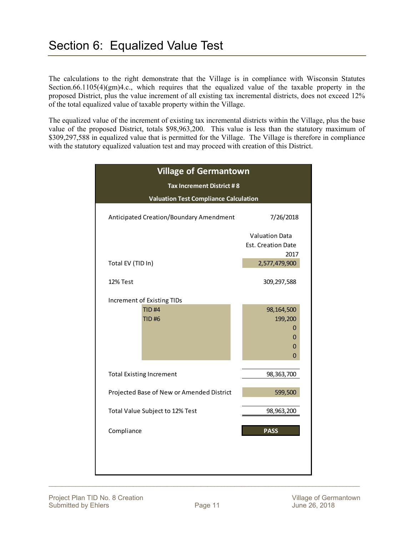The calculations to the right demonstrate that the Village is in compliance with Wisconsin Statutes Section.66.1105(4)(gm)4.c., which requires that the equalized value of the taxable property in the proposed District, plus the value increment of all existing tax incremental districts, does not exceed 12% of the total equalized value of taxable property within the Village.

The equalized value of the increment of existing tax incremental districts within the Village, plus the base value of the proposed District, totals \$98,963,200. This value is less than the statutory maximum of \$309,297,588 in equalized value that is permitted for the Village. The Village is therefore in compliance with the statutory equalized valuation test and may proceed with creation of this District.

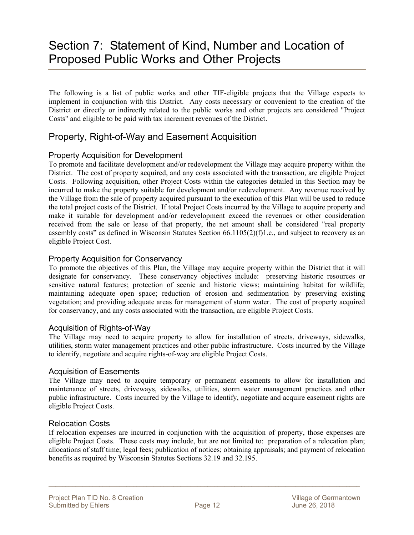## Section 7: Statement of Kind, Number and Location of Proposed Public Works and Other Projects

The following is a list of public works and other TIF-eligible projects that the Village expects to implement in conjunction with this District. Any costs necessary or convenient to the creation of the District or directly or indirectly related to the public works and other projects are considered "Project Costs" and eligible to be paid with tax increment revenues of the District.

### Property, Right-of-Way and Easement Acquisition

#### Property Acquisition for Development

To promote and facilitate development and/or redevelopment the Village may acquire property within the District. The cost of property acquired, and any costs associated with the transaction, are eligible Project Costs. Following acquisition, other Project Costs within the categories detailed in this Section may be incurred to make the property suitable for development and/or redevelopment. Any revenue received by the Village from the sale of property acquired pursuant to the execution of this Plan will be used to reduce the total project costs of the District. If total Project Costs incurred by the Village to acquire property and make it suitable for development and/or redevelopment exceed the revenues or other consideration received from the sale or lease of that property, the net amount shall be considered "real property assembly costs" as defined in Wisconsin Statutes Section  $66.1105(2)(f)1.c.,$  and subject to recovery as an eligible Project Cost.

#### Property Acquisition for Conservancy

To promote the objectives of this Plan, the Village may acquire property within the District that it will designate for conservancy. These conservancy objectives include: preserving historic resources or sensitive natural features; protection of scenic and historic views; maintaining habitat for wildlife; maintaining adequate open space; reduction of erosion and sedimentation by preserving existing vegetation; and providing adequate areas for management of storm water. The cost of property acquired for conservancy, and any costs associated with the transaction, are eligible Project Costs.

#### Acquisition of Rights-of-Way

The Village may need to acquire property to allow for installation of streets, driveways, sidewalks, utilities, storm water management practices and other public infrastructure. Costs incurred by the Village to identify, negotiate and acquire rights-of-way are eligible Project Costs.

#### Acquisition of Easements

The Village may need to acquire temporary or permanent easements to allow for installation and maintenance of streets, driveways, sidewalks, utilities, storm water management practices and other public infrastructure. Costs incurred by the Village to identify, negotiate and acquire easement rights are eligible Project Costs.

#### Relocation Costs

If relocation expenses are incurred in conjunction with the acquisition of property, those expenses are eligible Project Costs. These costs may include, but are not limited to: preparation of a relocation plan; allocations of staff time; legal fees; publication of notices; obtaining appraisals; and payment of relocation benefits as required by Wisconsin Statutes Sections 32.19 and 32.195.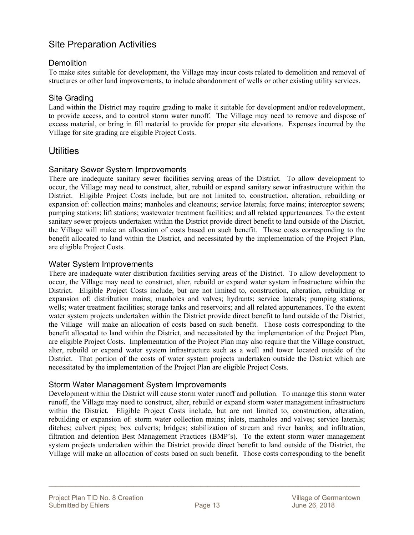### Site Preparation Activities

#### **Demolition**

To make sites suitable for development, the Village may incur costs related to demolition and removal of structures or other land improvements, to include abandonment of wells or other existing utility services.

#### Site Grading

Land within the District may require grading to make it suitable for development and/or redevelopment, to provide access, and to control storm water runoff. The Village may need to remove and dispose of excess material, or bring in fill material to provide for proper site elevations. Expenses incurred by the Village for site grading are eligible Project Costs.

### **Utilities**

#### Sanitary Sewer System Improvements

There are inadequate sanitary sewer facilities serving areas of the District. To allow development to occur, the Village may need to construct, alter, rebuild or expand sanitary sewer infrastructure within the District. Eligible Project Costs include, but are not limited to, construction, alteration, rebuilding or expansion of: collection mains; manholes and cleanouts; service laterals; force mains; interceptor sewers; pumping stations; lift stations; wastewater treatment facilities; and all related appurtenances. To the extent sanitary sewer projects undertaken within the District provide direct benefit to land outside of the District, the Village will make an allocation of costs based on such benefit. Those costs corresponding to the benefit allocated to land within the District, and necessitated by the implementation of the Project Plan, are eligible Project Costs.

#### Water System Improvements

There are inadequate water distribution facilities serving areas of the District. To allow development to occur, the Village may need to construct, alter, rebuild or expand water system infrastructure within the District. Eligible Project Costs include, but are not limited to, construction, alteration, rebuilding or expansion of: distribution mains; manholes and valves; hydrants; service laterals; pumping stations; wells; water treatment facilities; storage tanks and reservoirs; and all related appurtenances. To the extent water system projects undertaken within the District provide direct benefit to land outside of the District, the Village will make an allocation of costs based on such benefit. Those costs corresponding to the benefit allocated to land within the District, and necessitated by the implementation of the Project Plan, are eligible Project Costs. Implementation of the Project Plan may also require that the Village construct, alter, rebuild or expand water system infrastructure such as a well and tower located outside of the District. That portion of the costs of water system projects undertaken outside the District which are necessitated by the implementation of the Project Plan are eligible Project Costs.

#### Storm Water Management System Improvements

Development within the District will cause storm water runoff and pollution. To manage this storm water runoff, the Village may need to construct, alter, rebuild or expand storm water management infrastructure within the District. Eligible Project Costs include, but are not limited to, construction, alteration, rebuilding or expansion of: storm water collection mains; inlets, manholes and valves; service laterals; ditches; culvert pipes; box culverts; bridges; stabilization of stream and river banks; and infiltration, filtration and detention Best Management Practices (BMP's). To the extent storm water management system projects undertaken within the District provide direct benefit to land outside of the District, the Village will make an allocation of costs based on such benefit. Those costs corresponding to the benefit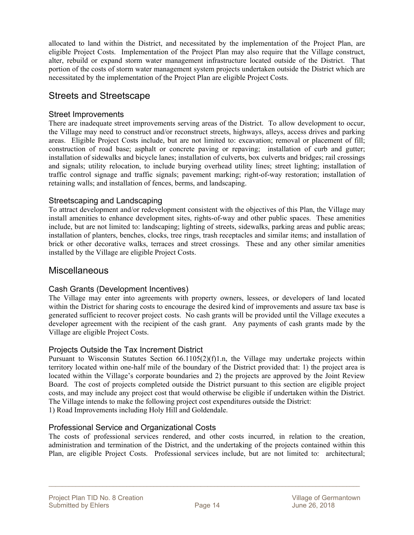allocated to land within the District, and necessitated by the implementation of the Project Plan, are eligible Project Costs. Implementation of the Project Plan may also require that the Village construct, alter, rebuild or expand storm water management infrastructure located outside of the District. That portion of the costs of storm water management system projects undertaken outside the District which are necessitated by the implementation of the Project Plan are eligible Project Costs.

### Streets and Streetscape

#### Street Improvements

There are inadequate street improvements serving areas of the District. To allow development to occur, the Village may need to construct and/or reconstruct streets, highways, alleys, access drives and parking areas. Eligible Project Costs include, but are not limited to: excavation; removal or placement of fill; construction of road base; asphalt or concrete paving or repaving; installation of curb and gutter; installation of sidewalks and bicycle lanes; installation of culverts, box culverts and bridges; rail crossings and signals; utility relocation, to include burying overhead utility lines; street lighting; installation of traffic control signage and traffic signals; pavement marking; right-of-way restoration; installation of retaining walls; and installation of fences, berms, and landscaping.

#### Streetscaping and Landscaping

To attract development and/or redevelopment consistent with the objectives of this Plan, the Village may install amenities to enhance development sites, rights-of-way and other public spaces. These amenities include, but are not limited to: landscaping; lighting of streets, sidewalks, parking areas and public areas; installation of planters, benches, clocks, tree rings, trash receptacles and similar items; and installation of brick or other decorative walks, terraces and street crossings. These and any other similar amenities installed by the Village are eligible Project Costs.

### **Miscellaneous**

#### Cash Grants (Development Incentives)

The Village may enter into agreements with property owners, lessees, or developers of land located within the District for sharing costs to encourage the desired kind of improvements and assure tax base is generated sufficient to recover project costs. No cash grants will be provided until the Village executes a developer agreement with the recipient of the cash grant. Any payments of cash grants made by the Village are eligible Project Costs.

#### Projects Outside the Tax Increment District

Pursuant to Wisconsin Statutes Section 66.1105(2)(f)1.n, the Village may undertake projects within territory located within one-half mile of the boundary of the District provided that: 1) the project area is located within the Village's corporate boundaries and 2) the projects are approved by the Joint Review Board. The cost of projects completed outside the District pursuant to this section are eligible project costs, and may include any project cost that would otherwise be eligible if undertaken within the District. The Village intends to make the following project cost expenditures outside the District: 1) Road Improvements including Holy Hill and Goldendale.

#### Professional Service and Organizational Costs

The costs of professional services rendered, and other costs incurred, in relation to the creation, administration and termination of the District, and the undertaking of the projects contained within this Plan, are eligible Project Costs. Professional services include, but are not limited to: architectural;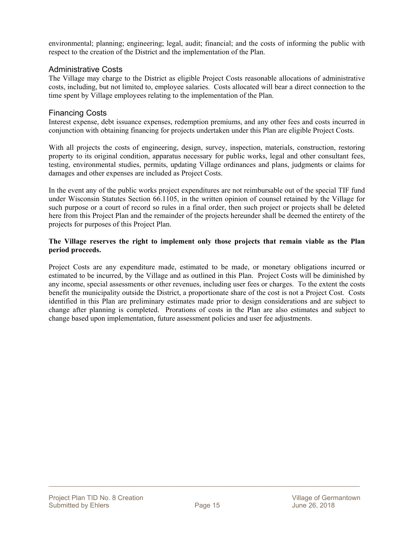environmental; planning; engineering; legal, audit; financial; and the costs of informing the public with respect to the creation of the District and the implementation of the Plan.

#### Administrative Costs

The Village may charge to the District as eligible Project Costs reasonable allocations of administrative costs, including, but not limited to, employee salaries. Costs allocated will bear a direct connection to the time spent by Village employees relating to the implementation of the Plan.

#### Financing Costs

Interest expense, debt issuance expenses, redemption premiums, and any other fees and costs incurred in conjunction with obtaining financing for projects undertaken under this Plan are eligible Project Costs.

With all projects the costs of engineering, design, survey, inspection, materials, construction, restoring property to its original condition, apparatus necessary for public works, legal and other consultant fees, testing, environmental studies, permits, updating Village ordinances and plans, judgments or claims for damages and other expenses are included as Project Costs.

In the event any of the public works project expenditures are not reimbursable out of the special TIF fund under Wisconsin Statutes Section 66.1105, in the written opinion of counsel retained by the Village for such purpose or a court of record so rules in a final order, then such project or projects shall be deleted here from this Project Plan and the remainder of the projects hereunder shall be deemed the entirety of the projects for purposes of this Project Plan.

#### **The Village reserves the right to implement only those projects that remain viable as the Plan period proceeds.**

Project Costs are any expenditure made, estimated to be made, or monetary obligations incurred or estimated to be incurred, by the Village and as outlined in this Plan. Project Costs will be diminished by any income, special assessments or other revenues, including user fees or charges. To the extent the costs benefit the municipality outside the District, a proportionate share of the cost is not a Project Cost. Costs identified in this Plan are preliminary estimates made prior to design considerations and are subject to change after planning is completed. Prorations of costs in the Plan are also estimates and subject to change based upon implementation, future assessment policies and user fee adjustments.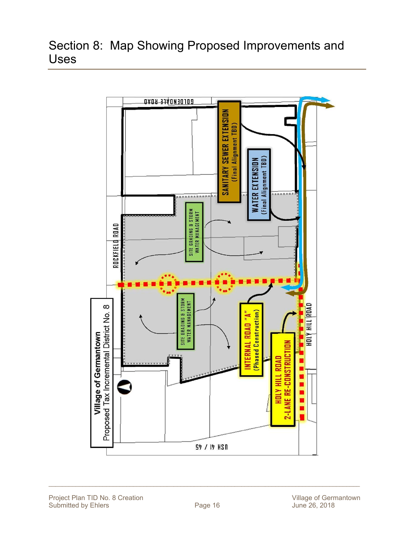## Section 8: Map Showing Proposed Improvements and Uses

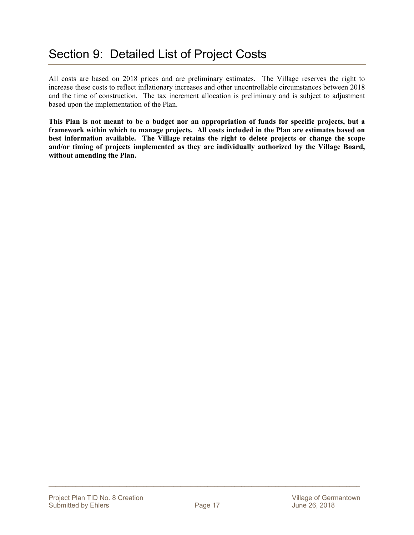All costs are based on 2018 prices and are preliminary estimates. The Village reserves the right to increase these costs to reflect inflationary increases and other uncontrollable circumstances between 2018 and the time of construction. The tax increment allocation is preliminary and is subject to adjustment based upon the implementation of the Plan.

**This Plan is not meant to be a budget nor an appropriation of funds for specific projects, but a framework within which to manage projects. All costs included in the Plan are estimates based on best information available. The Village retains the right to delete projects or change the scope and/or timing of projects implemented as they are individually authorized by the Village Board, without amending the Plan.**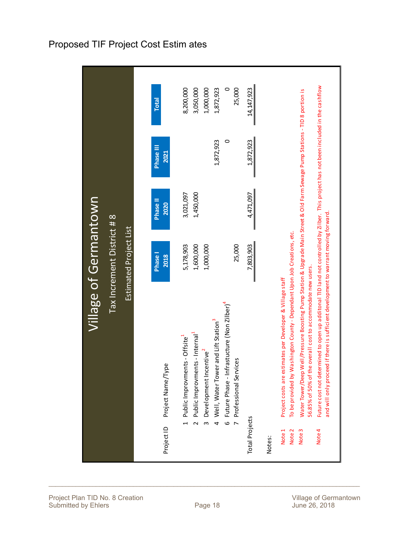|                                      |                                                                                                                                                                                                                                                                                                                                                                                                                                                                                                                                                                      | Village of Germantown                                |                        |                   |                                                                 |
|--------------------------------------|----------------------------------------------------------------------------------------------------------------------------------------------------------------------------------------------------------------------------------------------------------------------------------------------------------------------------------------------------------------------------------------------------------------------------------------------------------------------------------------------------------------------------------------------------------------------|------------------------------------------------------|------------------------|-------------------|-----------------------------------------------------------------|
|                                      |                                                                                                                                                                                                                                                                                                                                                                                                                                                                                                                                                                      | Tax Increment District # 8<br>Estimated Project List |                        |                   |                                                                 |
| Project ID                           | Project Name/Type                                                                                                                                                                                                                                                                                                                                                                                                                                                                                                                                                    | Phase <sub>1</sub><br>2018                           | Phase II<br>2020       | Phase III<br>2021 | <b>Total</b>                                                    |
| $\sim$                               | 6 Future Phase - Infrastucture (Non Zilber) <sup>4</sup><br>Well, Water Tower and Lift Station <sup>3</sup><br>Public Improvments - Internal <sup>1</sup><br>Public Improvments - Offsite <sup>1</sup><br>Development Incentive <sup>2</sup><br>ces<br>Professional Servi<br>$\frac{4}{1}$<br>$\overline{r}$<br>$\omega$                                                                                                                                                                                                                                             | 25,000<br>1,600,000<br>1,000,000<br>5,178,903        | 1,450,000<br>3,021,097 | 1,872,923<br>0    | 25,000<br>1,000,000<br>8,200,000<br>3,050,000<br>1,872,923<br>0 |
| <b>Total Projects</b><br>Notes:      |                                                                                                                                                                                                                                                                                                                                                                                                                                                                                                                                                                      | 7,803,903                                            | 4,471,097              | 1,872,923         | 14, 147, 923                                                    |
| Note 4<br>Note 1<br>Note 2<br>Note 3 | Future cost not determined to open up additonal TID land not controlled by ZIIber. This project has not been included in the cashflow<br>Water Tower/Deep Well/Pressure Boosting Pump Station & Upgrade Main Street & Old Farm Sewage Pump Stations - TID 8 portion is<br>and will only proceed if there is sufficient development to warrant moving forward<br>To be provided by Washington County - Dependant Upon Job Creations, etc.<br>56.85% of 50% of the overall cost to accommodate new users.<br>Project costs are estimates per Developer & Village staff |                                                      |                        |                   |                                                                 |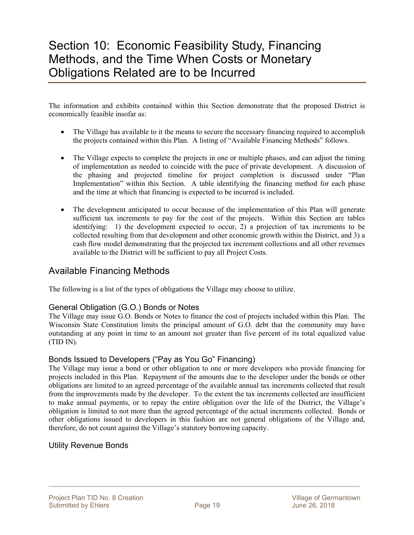## Section 10: Economic Feasibility Study, Financing Methods, and the Time When Costs or Monetary Obligations Related are to be Incurred

The information and exhibits contained within this Section demonstrate that the proposed District is economically feasible insofar as:

- The Village has available to it the means to secure the necessary financing required to accomplish the projects contained within this Plan. A listing of "Available Financing Methods" follows.
- The Village expects to complete the projects in one or multiple phases, and can adjust the timing of implementation as needed to coincide with the pace of private development. A discussion of the phasing and projected timeline for project completion is discussed under "Plan Implementation" within this Section. A table identifying the financing method for each phase and the time at which that financing is expected to be incurred is included.
- The development anticipated to occur because of the implementation of this Plan will generate sufficient tax increments to pay for the cost of the projects. Within this Section are tables identifying: 1) the development expected to occur, 2) a projection of tax increments to be collected resulting from that development and other economic growth within the District, and 3) a cash flow model demonstrating that the projected tax increment collections and all other revenues available to the District will be sufficient to pay all Project Costs.

### Available Financing Methods

The following is a list of the types of obligations the Village may choose to utilize.

#### General Obligation (G.O.) Bonds or Notes

The Village may issue G.O. Bonds or Notes to finance the cost of projects included within this Plan. The Wisconsin State Constitution limits the principal amount of G.O. debt that the community may have outstanding at any point in time to an amount not greater than five percent of its total equalized value (TID IN).

#### Bonds Issued to Developers ("Pay as You Go" Financing)

The Village may issue a bond or other obligation to one or more developers who provide financing for projects included in this Plan. Repayment of the amounts due to the developer under the bonds or other obligations are limited to an agreed percentage of the available annual tax increments collected that result from the improvements made by the developer. To the extent the tax increments collected are insufficient to make annual payments, or to repay the entire obligation over the life of the District, the Village's obligation is limited to not more than the agreed percentage of the actual increments collected. Bonds or other obligations issued to developers in this fashion are not general obligations of the Village and, therefore, do not count against the Village's statutory borrowing capacity.

#### Utility Revenue Bonds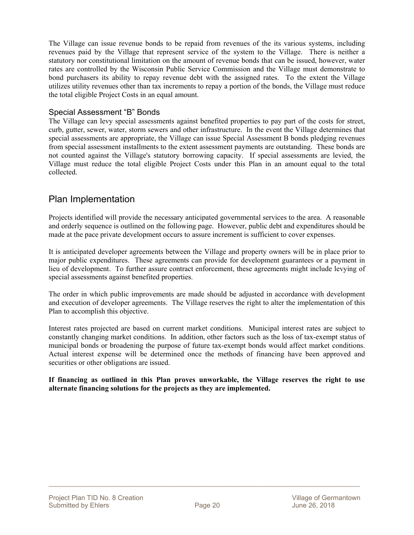The Village can issue revenue bonds to be repaid from revenues of the its various systems, including revenues paid by the Village that represent service of the system to the Village. There is neither a statutory nor constitutional limitation on the amount of revenue bonds that can be issued, however, water rates are controlled by the Wisconsin Public Service Commission and the Village must demonstrate to bond purchasers its ability to repay revenue debt with the assigned rates. To the extent the Village utilizes utility revenues other than tax increments to repay a portion of the bonds, the Village must reduce the total eligible Project Costs in an equal amount.

#### Special Assessment "B" Bonds

The Village can levy special assessments against benefited properties to pay part of the costs for street, curb, gutter, sewer, water, storm sewers and other infrastructure. In the event the Village determines that special assessments are appropriate, the Village can issue Special Assessment B bonds pledging revenues from special assessment installments to the extent assessment payments are outstanding. These bonds are not counted against the Village's statutory borrowing capacity. If special assessments are levied, the Village must reduce the total eligible Project Costs under this Plan in an amount equal to the total collected.

### Plan Implementation

Projects identified will provide the necessary anticipated governmental services to the area. A reasonable and orderly sequence is outlined on the following page. However, public debt and expenditures should be made at the pace private development occurs to assure increment is sufficient to cover expenses.

It is anticipated developer agreements between the Village and property owners will be in place prior to major public expenditures. These agreements can provide for development guarantees or a payment in lieu of development. To further assure contract enforcement, these agreements might include levying of special assessments against benefited properties.

The order in which public improvements are made should be adjusted in accordance with development and execution of developer agreements. The Village reserves the right to alter the implementation of this Plan to accomplish this objective.

Interest rates projected are based on current market conditions. Municipal interest rates are subject to constantly changing market conditions. In addition, other factors such as the loss of tax-exempt status of municipal bonds or broadening the purpose of future tax-exempt bonds would affect market conditions. Actual interest expense will be determined once the methods of financing have been approved and securities or other obligations are issued.

**If financing as outlined in this Plan proves unworkable, the Village reserves the right to use alternate financing solutions for the projects as they are implemented.**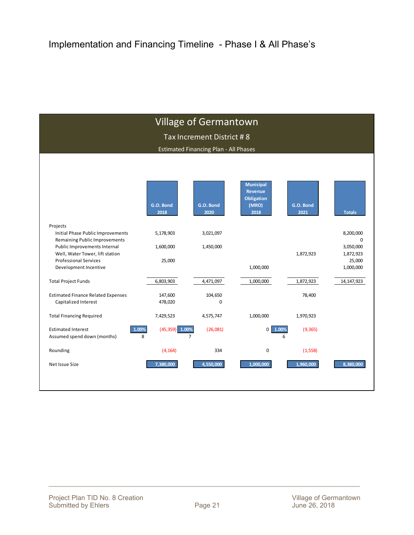|                                                                 |                   | <b>Village of Germantown</b>                 |                                                                          |                   |                        |
|-----------------------------------------------------------------|-------------------|----------------------------------------------|--------------------------------------------------------------------------|-------------------|------------------------|
|                                                                 |                   |                                              |                                                                          |                   |                        |
|                                                                 |                   | Tax Increment District #8                    |                                                                          |                   |                        |
|                                                                 |                   | <b>Estimated Financing Plan - All Phases</b> |                                                                          |                   |                        |
|                                                                 |                   |                                              |                                                                          |                   |                        |
|                                                                 |                   |                                              |                                                                          |                   |                        |
|                                                                 |                   |                                              |                                                                          |                   |                        |
|                                                                 | G.O. Bond<br>2018 | G.O. Bond<br>2020                            | <b>Municipal</b><br><b>Revenue</b><br><b>Obligation</b><br>(MRO)<br>2018 | G.O. Bond<br>2021 | <b>Totals</b>          |
| Projects                                                        |                   |                                              |                                                                          |                   |                        |
| Initial Phase Public Improvements                               | 5,178,903         | 3,021,097                                    |                                                                          |                   | 8,200,000              |
| Remaining Public Improvements                                   |                   |                                              |                                                                          |                   | 0                      |
| Public Improvements Internal<br>Well, Water Tower, lift station | 1,600,000         | 1,450,000                                    |                                                                          | 1,872,923         | 3,050,000<br>1,872,923 |
| <b>Professional Services</b>                                    | 25,000            |                                              |                                                                          |                   | 25,000                 |
| Development Incentive                                           |                   |                                              | 1,000,000                                                                |                   | 1,000,000              |
| <b>Total Project Funds</b>                                      | 6,803,903         | 4,471,097                                    | 1,000,000                                                                | 1,872,923         | 14, 147, 923           |
|                                                                 |                   |                                              |                                                                          |                   |                        |
| <b>Estimated Finance Related Expenses</b>                       | 147,600           | 104,650                                      |                                                                          | 78,400            |                        |
| Capitalized Interest                                            | 478,020           | 0                                            |                                                                          |                   |                        |
| <b>Total Financing Required</b>                                 | 7,429,523         | 4,575,747                                    | 1,000,000                                                                | 1,970,923         |                        |
| 1.00%<br><b>Estimated Interest</b>                              | $(45,359)$ 1.00%  | (26,081)                                     | $0$ 1.00%                                                                | (9, 365)          |                        |
| Assumed spend down (months)                                     | 8                 | $\overline{7}$                               |                                                                          | 6                 |                        |
| Rounding                                                        | (4, 164)          | 334                                          | 0                                                                        | (1, 558)          |                        |
| Net Issue Size                                                  | 7,380,000         | 4,550,000                                    | 1,000,000                                                                | 1,960,000         | 8,380,000              |
|                                                                 |                   |                                              |                                                                          |                   |                        |
|                                                                 |                   |                                              |                                                                          |                   |                        |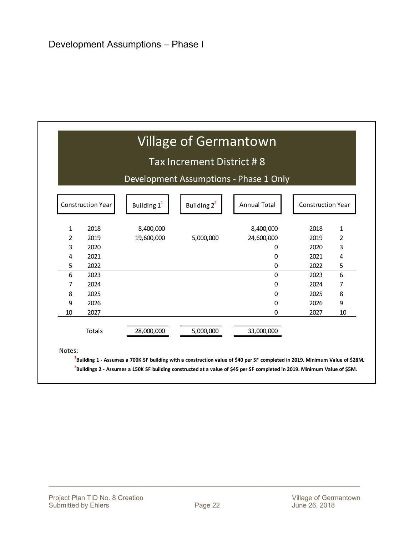|              |                          |                         | Tax Increment District #8                      |                                        |      |    |  |
|--------------|--------------------------|-------------------------|------------------------------------------------|----------------------------------------|------|----|--|
|              |                          |                         |                                                | Development Assumptions - Phase 1 Only |      |    |  |
|              | <b>Construction Year</b> | Building 1 <sup>1</sup> | <b>Annual Total</b><br>Building 2 <sup>2</sup> |                                        |      |    |  |
| $\mathbf{1}$ | 2018                     | 8,400,000               |                                                | 8,400,000                              | 2018 | 1  |  |
| 2            | 2019                     | 19,600,000              | 5,000,000                                      | 24,600,000                             | 2019 | 2  |  |
| 3            | 2020                     |                         |                                                | 0                                      | 2020 | 3  |  |
| 4            | 2021                     |                         |                                                | 0                                      | 2021 | 4  |  |
| 5            | 2022                     |                         |                                                | 0                                      | 2022 | 5  |  |
| 6            | 2023                     |                         |                                                | 0                                      | 2023 | 6  |  |
| 7            | 2024                     |                         |                                                | 0                                      | 2024 | 7  |  |
| 8            | 2025                     |                         |                                                | 0                                      | 2025 | 8  |  |
| 9            | 2026                     |                         |                                                | 0                                      | 2026 | 9  |  |
| 10           | 2027                     |                         |                                                | 0                                      | 2027 | 10 |  |
|              | Totals                   | 28,000,000              | 5,000,000                                      | 33,000,000                             |      |    |  |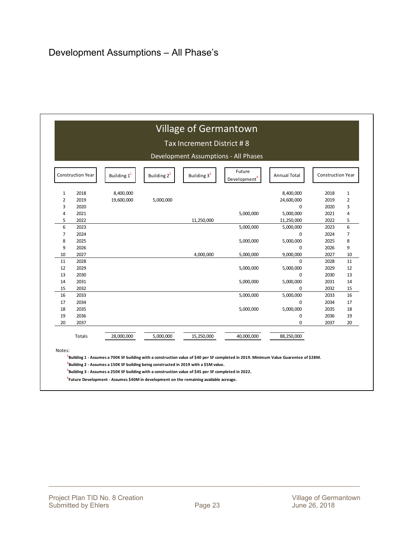|                          |        |                         |                          | Tax Increment District #8 | Development Assumptions - All Phases |            |      |                |
|--------------------------|--------|-------------------------|--------------------------|---------------------------|--------------------------------------|------------|------|----------------|
| <b>Construction Year</b> |        | Building 1 <sup>1</sup> | <b>Construction Year</b> |                           |                                      |            |      |                |
| $\mathbf{1}$             | 2018   | 8,400,000               |                          |                           |                                      | 8,400,000  | 2018 | 1              |
| $\overline{2}$           | 2019   | 19,600,000              | 5,000,000                |                           |                                      | 24,600,000 | 2019 | 2              |
| 3                        | 2020   |                         |                          |                           |                                      | 0          | 2020 | 3              |
| 4                        | 2021   |                         |                          |                           | 5,000,000                            | 5,000,000  | 2021 | 4              |
| 5                        | 2022   |                         |                          | 11,250,000                |                                      | 11,250,000 | 2022 | 5              |
| 6                        | 2023   |                         |                          |                           | 5,000,000                            | 5,000,000  | 2023 | 6              |
| $\overline{7}$           | 2024   |                         |                          |                           |                                      | 0          | 2024 | $\overline{7}$ |
| 8                        | 2025   |                         |                          |                           | 5,000,000                            | 5,000,000  | 2025 | 8              |
| 9                        | 2026   |                         |                          |                           |                                      | 0          | 2026 | 9              |
| 10                       | 2027   |                         |                          | 4,000,000                 | 5,000,000                            | 9,000,000  | 2027 | 10             |
| 11                       | 2028   |                         |                          |                           |                                      | 0          | 2028 | 11             |
| 12                       | 2029   |                         |                          |                           | 5,000,000                            | 5,000,000  | 2029 | 12             |
| 13                       | 2030   |                         |                          |                           |                                      | 0          | 2030 | 13             |
| 14                       | 2031   |                         |                          |                           | 5,000,000                            | 5,000,000  | 2031 | 14             |
| 15                       | 2032   |                         |                          |                           |                                      | 0          | 2032 | 15             |
| 16                       | 2033   |                         |                          |                           | 5,000,000                            | 5,000,000  | 2033 | 16             |
| 17                       | 2034   |                         |                          |                           |                                      | 0          | 2034 | 17             |
| 18                       | 2035   |                         |                          |                           | 5,000,000                            | 5,000,000  | 2035 | 18             |
| 19                       | 2036   |                         |                          |                           |                                      | 0          | 2036 | 19             |
| 20                       | 2037   |                         |                          |                           |                                      | 0          | 2037 | 20             |
|                          | Totals | 28,000,000              | 5,000,000                | 15,250,000                | 40,000,000                           | 88,250,000 |      |                |

**4 Future Development ‐ Assumes \$40M in development on the remaining available acreage.**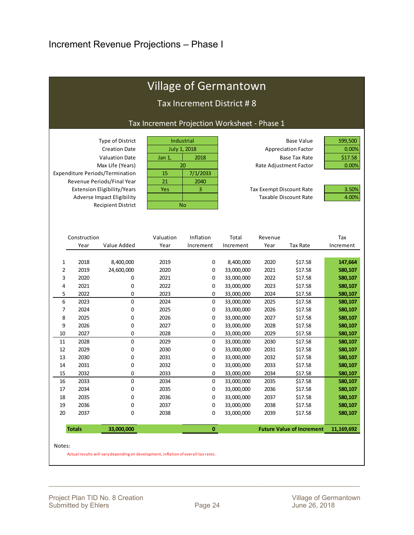| <b>Village of Germantown</b> |                      |                                                                                                                                                               |                                                         |                                |                           |                                                                 |                                                                         |                                      |  |  |  |  |  |
|------------------------------|----------------------|---------------------------------------------------------------------------------------------------------------------------------------------------------------|---------------------------------------------------------|--------------------------------|---------------------------|-----------------------------------------------------------------|-------------------------------------------------------------------------|--------------------------------------|--|--|--|--|--|
|                              |                      |                                                                                                                                                               |                                                         |                                | Tax Increment District #8 |                                                                 |                                                                         |                                      |  |  |  |  |  |
|                              |                      |                                                                                                                                                               | Tax Increment Projection Worksheet - Phase 1            |                                |                           |                                                                 |                                                                         |                                      |  |  |  |  |  |
|                              |                      | Type of District<br><b>Creation Date</b><br><b>Valuation Date</b><br>Max Life (Years)<br><b>Expenditure Periods/Termination</b><br>Revenue Periods/Final Year | Industrial<br><b>July 1, 2018</b><br>Jan 1,<br>15<br>21 | 2018<br>20<br>7/1/2033<br>2040 |                           | Rate Adjustment Factor                                          | <b>Base Value</b><br><b>Appreciation Factor</b><br><b>Base Tax Rate</b> | 599,500<br>0.00%<br>\$17.58<br>0.00% |  |  |  |  |  |
|                              |                      | Extension Eligibility/Years                                                                                                                                   | Yes                                                     | 3                              |                           | <b>Tax Exempt Discount Rate</b><br><b>Taxable Discount Rate</b> | 3.50%<br>4.00%                                                          |                                      |  |  |  |  |  |
|                              |                      | Adverse Impact Eligibility<br><b>Recipient District</b>                                                                                                       | <b>No</b>                                               |                                |                           |                                                                 |                                                                         |                                      |  |  |  |  |  |
|                              |                      |                                                                                                                                                               |                                                         |                                |                           |                                                                 |                                                                         |                                      |  |  |  |  |  |
|                              | Construction<br>Year | Value Added                                                                                                                                                   | Valuation<br>Year                                       | Inflation<br>Increment         | Total<br>Increment        | Revenue<br>Year                                                 | <b>Tax Rate</b>                                                         | Tax<br>Increment                     |  |  |  |  |  |
|                              |                      |                                                                                                                                                               |                                                         |                                |                           |                                                                 |                                                                         |                                      |  |  |  |  |  |
| $\mathbf{1}$                 | 2018                 | 8,400,000                                                                                                                                                     | 2019                                                    | 0                              | 8,400,000                 | 2020                                                            | \$17.58                                                                 | 147,664                              |  |  |  |  |  |
| $\overline{2}$               | 2019                 | 24,600,000                                                                                                                                                    | 2020                                                    | 0                              | 33,000,000                | 2021                                                            | \$17.58                                                                 | 580,107                              |  |  |  |  |  |
| 3                            | 2020                 | 0                                                                                                                                                             | 2021                                                    | 0                              | 33,000,000                | 2022                                                            | \$17.58                                                                 | 580,107                              |  |  |  |  |  |
| 4                            | 2021                 | 0                                                                                                                                                             | 2022                                                    | 0                              | 33,000,000                | 2023                                                            | \$17.58                                                                 | 580,107                              |  |  |  |  |  |
| 5                            | 2022                 | 0                                                                                                                                                             | 2023                                                    | 0                              | 33,000,000                | 2024                                                            | \$17.58                                                                 | 580,107                              |  |  |  |  |  |
| 6                            | 2023                 | 0                                                                                                                                                             | 2024                                                    | 0                              | 33,000,000                | 2025                                                            | \$17.58                                                                 | 580,107                              |  |  |  |  |  |
| $\overline{7}$               | 2024                 | 0                                                                                                                                                             | 2025                                                    | 0                              | 33,000,000                | 2026                                                            | \$17.58                                                                 | 580,107                              |  |  |  |  |  |
| 8                            | 2025                 | 0                                                                                                                                                             | 2026                                                    | 0                              | 33,000,000                | 2027                                                            | \$17.58                                                                 | 580,107                              |  |  |  |  |  |
| 9                            | 2026                 | 0                                                                                                                                                             | 2027                                                    | 0                              | 33,000,000                | 2028                                                            | \$17.58                                                                 | 580,107                              |  |  |  |  |  |
| 10                           | 2027                 | 0                                                                                                                                                             | 2028                                                    | 0                              | 33,000,000                | 2029                                                            | \$17.58                                                                 | 580,107                              |  |  |  |  |  |
| 11                           | 2028                 | 0                                                                                                                                                             | 2029                                                    | 0                              | 33,000,000                | 2030                                                            | \$17.58                                                                 | 580,107                              |  |  |  |  |  |
| 12                           | 2029                 | 0                                                                                                                                                             | 2030                                                    | 0                              | 33,000,000                | 2031                                                            | \$17.58                                                                 | 580,107                              |  |  |  |  |  |
| 13                           | 2030                 | 0                                                                                                                                                             | 2031                                                    | 0                              | 33,000,000                | 2032                                                            | \$17.58                                                                 | 580,107                              |  |  |  |  |  |
| 14                           | 2031                 | 0                                                                                                                                                             | 2032                                                    | 0                              | 33,000,000                | 2033                                                            | \$17.58                                                                 | 580,107                              |  |  |  |  |  |
| 15                           | 2032                 | 0                                                                                                                                                             | 2033                                                    | 0                              | 33,000,000                | 2034                                                            | \$17.58                                                                 | 580,107                              |  |  |  |  |  |
| 16                           | 2033                 | 0                                                                                                                                                             | 2034                                                    | 0                              | 33,000,000                | 2035                                                            | \$17.58                                                                 | 580,107                              |  |  |  |  |  |
| 17                           | 2034                 | 0                                                                                                                                                             | 2035                                                    | 0                              | 33,000,000                | 2036                                                            | \$17.58                                                                 | 580,107                              |  |  |  |  |  |
| 18                           | 2035                 | 0                                                                                                                                                             | 2036                                                    | 0                              | 33,000,000                | 2037                                                            | \$17.58                                                                 | 580,107                              |  |  |  |  |  |
| 19                           | 2036                 | 0                                                                                                                                                             | 2037                                                    | 0                              | 33,000,000                | 2038                                                            | \$17.58                                                                 | 580,107                              |  |  |  |  |  |
| 20                           | 2037                 | $\Omega$                                                                                                                                                      | 2038                                                    | 0                              | 33,000,000                | 2039                                                            | \$17.58                                                                 | 580,107                              |  |  |  |  |  |

**Totals** 33,000,000 33,000,000 **0 11,169,692** 

Notes:

Actual results will vary depending on development, inflation of overall tax rates.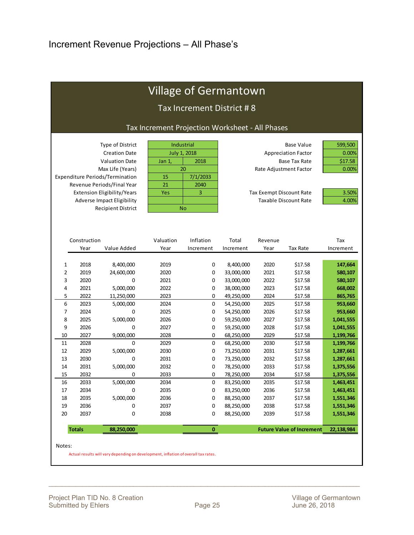|                                  |                                                                                       |                                                                                                                                                                                                                                                         |                                                 | <b>Village of Germantown</b>                                                   |                                                                    |                                                                                                                                                                   |                                                                                                         |                                                                            |
|----------------------------------|---------------------------------------------------------------------------------------|---------------------------------------------------------------------------------------------------------------------------------------------------------------------------------------------------------------------------------------------------------|-------------------------------------------------|--------------------------------------------------------------------------------|--------------------------------------------------------------------|-------------------------------------------------------------------------------------------------------------------------------------------------------------------|---------------------------------------------------------------------------------------------------------|----------------------------------------------------------------------------|
|                                  |                                                                                       |                                                                                                                                                                                                                                                         |                                                 | Tax Increment District #8                                                      |                                                                    |                                                                                                                                                                   |                                                                                                         |                                                                            |
|                                  |                                                                                       |                                                                                                                                                                                                                                                         | Tax Increment Projection Worksheet - All Phases |                                                                                |                                                                    |                                                                                                                                                                   |                                                                                                         |                                                                            |
|                                  |                                                                                       | Type of District<br><b>Creation Date</b><br><b>Valuation Date</b><br>Max Life (Years)<br>Expenditure Periods/Termination<br>Revenue Periods/Final Year<br>Extension Eligibility/Years<br><b>Adverse Impact Eligibility</b><br><b>Recipient District</b> | Jan 1,<br>15<br>21<br>Yes                       | Industrial<br><b>July 1, 2018</b><br>2018<br>20<br>7/1/2033<br>2040<br>3<br>No |                                                                    | Rate Adjustment Factor<br>Tax Exempt Discount Rate                                                                                                                | <b>Base Value</b><br><b>Appreciation Factor</b><br><b>Base Tax Rate</b><br><b>Taxable Discount Rate</b> | 599,500<br>0.00%<br>\$17.58<br>0.00%<br>3.50%<br>4.00%                     |
|                                  | Construction<br>Year                                                                  | Value Added                                                                                                                                                                                                                                             | Valuation<br>Year                               | Inflation<br>Increment                                                         | Total<br>Increment                                                 | Revenue<br>Year                                                                                                                                                   | <b>Tax Rate</b>                                                                                         | Tax<br>Increment                                                           |
| 1<br>2<br>3<br>4<br>5            | 2018<br>8,400,000<br>2019<br>24,600,000<br>2020<br>0<br>2021<br>5,000,000             |                                                                                                                                                                                                                                                         | 2019<br>2020<br>2021<br>2022<br>2023            | 0<br>0<br>0<br>0<br>0                                                          | 8,400,000<br>33,000,000<br>33,000,000<br>38,000,000<br>49,250,000  | 2020<br>2021<br>2022<br>2023<br>2024                                                                                                                              | \$17.58<br>\$17.58<br>\$17.58<br>\$17.58<br>\$17.58                                                     | 147,664<br>580,107<br>580,107<br>668,002<br>865,765                        |
| 6<br>7<br>8<br>9                 | 2022<br>2023<br>2024<br>2025<br>2026                                                  | 11,250,000<br>5,000,000<br>0<br>5,000,000<br>0                                                                                                                                                                                                          | 2024<br>2025<br>2026<br>2027                    | 0<br>0<br>0<br>0                                                               | 54,250,000<br>54,250,000<br>59,250,000<br>59,250,000               | 2025<br>\$17.58<br>\$17.58<br>2026<br>2027<br>\$17.58<br>2028<br>\$17.58                                                                                          |                                                                                                         | 953,660<br>953,660<br>1,041,555<br>1,041,555                               |
| 10<br>11<br>12<br>13<br>14       | 2027<br>9,000,000<br>2028<br>0<br>2029<br>5,000,000<br>2030<br>0<br>2031<br>5,000,000 |                                                                                                                                                                                                                                                         | 2028<br>2029<br>2030<br>2031<br>2032            | 0<br>0<br>0<br>0<br>0                                                          | 68,250,000<br>68,250,000<br>73,250,000<br>73,250,000<br>78,250,000 | 2029<br>\$17.58<br>2030<br>\$17.58<br>2031<br>\$17.58<br>2032<br>\$17.58<br>2033<br>\$17.58                                                                       |                                                                                                         | 1,199,766<br>1,199,766<br>1,287,661<br>1,287,661<br>1,375,556              |
| 15<br>16<br>17<br>18<br>19<br>20 | 2032<br>0<br>2033<br>5,000,000<br>0<br>2034<br>2035<br>5,000,000<br>2036<br>0         |                                                                                                                                                                                                                                                         | 2033<br>2034<br>2035<br>2036<br>2037<br>2038    | 0<br>0<br>0<br>0<br>0                                                          |                                                                    | 78,250,000<br>2034<br>\$17.58<br>83,250,000<br>2035<br>\$17.58<br>83,250,000<br>2036<br>\$17.58<br>88,250,000<br>2037<br>\$17.58<br>88,250,000<br>2038<br>\$17.58 |                                                                                                         | 1,375,556<br>1,463,451<br>1,463,451<br>1,551,346<br>1,551,346<br>1,551,346 |
|                                  | 2037<br><b>Totals</b>                                                                 | 0<br>88,250,000                                                                                                                                                                                                                                         |                                                 | 0<br>$\pmb{0}$                                                                 | 88,250,000                                                         | 2039                                                                                                                                                              | \$17.58<br><b>Future Value of Increment</b>                                                             | 22,138,984                                                                 |

Notes:

Actual results will vary depending on development, inflation of overall tax rates.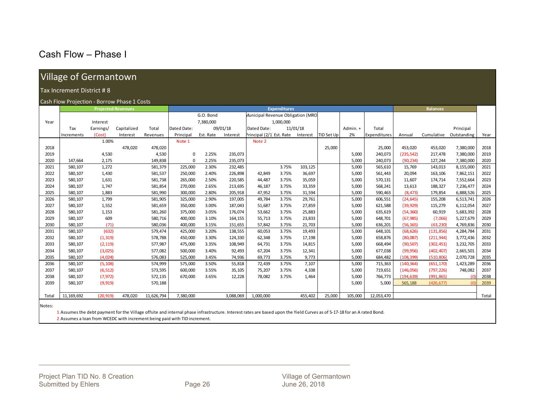### Cash Flow – Phase I

### Village of Germantown

#### Tax Increment District # 8

#### Cash Flow Projection ‐ Borrow Phase 1 Costs

|       |              | <b>Projected Revenues</b> |             |            |             |           |           |                                          | <b>Expenditures</b> |          |            |          |              | <b>Balances</b> |            |             |       |
|-------|--------------|---------------------------|-------------|------------|-------------|-----------|-----------|------------------------------------------|---------------------|----------|------------|----------|--------------|-----------------|------------|-------------|-------|
|       |              |                           |             |            |             | G.O. Bond |           | <b>Municipal Revenue Obligation (MRO</b> |                     |          |            |          |              |                 |            |             |       |
| Year  |              | Interest                  |             |            |             | 7,380,000 |           |                                          | 1,000,000           |          |            |          |              |                 |            |             |       |
|       | Tax          | Earnings/                 | Capitalized | Total      | Dated Date: |           | 09/01/18  | Dated Date:                              |                     | 11/01/18 |            | Admin. + | Total        |                 |            | Principal   |       |
|       | Increments   | (Cost)                    | Interest    | Revenues   | Principal   | Est. Rate | Interest  | Principal (2/1 Est. Rate                 |                     | Interest | TID Set Up | 2%       | Expenditures | Annual          | Cumulative | Outstanding | Year  |
|       |              | 1.00%                     |             |            | Note 1      |           |           | Note 2                                   |                     |          |            |          |              |                 |            |             |       |
| 2018  |              |                           | 478,020     | 478,020    |             |           |           |                                          |                     |          | 25,000     |          | 25,000       | 453,020         | 453,020    | 7,380,000   | 2018  |
| 2019  |              | 4,530                     |             | 4,530      | $\mathbf 0$ | 2.25%     | 235,073   |                                          |                     |          |            | 5,000    | 240,073      | (235, 542)      | 217,478    | 7,380,000   | 2019  |
| 2020  | 147,664      | 2,175                     |             | 149,838    | $\Omega$    | 2.25%     | 235,073   |                                          |                     |          |            | 5,000    | 240,073      | (90, 234)       | 127,244    | 7,380,000   | 2020  |
| 2021  | 580,107      | 1,272                     |             | 581,379    | 225,000     | 2.30%     | 232,485   |                                          | 3.75%               | 103,125  |            | 5,000    | 565,610      | 15,769          | 143,013    | 8,155,000   | 2021  |
| 2022  | 580,107      | 1,430                     |             | 581,537    | 250,000     | 2.40%     | 226,898   | 42.849                                   | 3.75%               | 36,697   |            | 5,000    | 561,443      | 20,094          | 163,106    | 7,862,151   | 2022  |
| 2023  | 580,107      | 1,631                     |             | 581,738    | 265,000     | 2.50%     | 220,585   | 44,487                                   | 3.75%               | 35,059   |            | 5,000    | 570,131      | 11,607          | 174,714    | 7,552,664   | 2023  |
| 2024  | 580,107      | 1,747                     |             | 581,854    | 270,000     | 2.65%     | 213,695   | 46,187                                   | 3.75%               | 33,359   |            | 5,000    | 568,241      | 13,613          | 188,327    | 7,236,477   | 2024  |
| 2025  | 580,107      | 1,883                     |             | 581,990    | 300,000     | 2.80%     | 205,918   | 47,952                                   | 3.75%               | 31,594   |            | 5,000    | 590,463      | (8, 473)        | 179,854    | 6,888,526   | 2025  |
| 2026  | 580,107      | 1,799                     |             | 581,905    | 325,000     | 2.90%     | 197,005   | 49,784                                   | 3.75%               | 29,761   |            | 5,000    | 606,551      | (24, 645)       | 155,208    | 6,513,741   | 2026  |
| 2027  | 580,107      | 1,552                     |             | 581,659    | 350,000     | 3.00%     | 187,043   | 51,687                                   | 3.75%               | 27,859   |            | 5,000    | 621,588      | (39, 929)       | 115,279    | 6,112,054   | 2027  |
| 2028  | 580,107      | 1,153                     |             | 581,260    | 375,000     | 3.05%     | 176,074   | 53,662                                   | 3.75%               | 25,883   |            | 5,000    | 635,619      | (54, 360)       | 60,919     | 5,683,392   | 2028  |
| 2029  | 580,107      | 609                       |             | 580,716    | 400,000     | 3.10%     | 164,155   | 55,713                                   | 3.75%               | 23,833   |            | 5,000    | 648,701      | (67, 985)       | (7,066)    | 5,227,679   | 2029  |
| 2030  | 580,107      | (71)                      |             | 580,036    | 400,000     | 3.15%     | 151,655   | 57,842                                   | 3.75%               | 21,703   |            | 5,000    | 636,201      | (56, 165)       | (63, 230)  | 4,769,836   | 2030  |
| 2031  | 580,107      | (632)                     |             | 579,474    | 425,000     | 3.20%     | 138,555   | 60,053                                   | 3.75%               | 19,493   |            | 5,000    | 648,101      | (68, 626)       | (131, 856) | 4,284,784   | 2031  |
| 2032  | 580,107      | (1, 319)                  |             | 578,788    | 450,000     | 3.30%     | 124,330   | 62,348                                   | 3.75%               | 17,198   |            | 5,000    | 658,876      | (80,087)        | (211, 944) | 3,772,436   | 2032  |
| 2033  | 580,107      | (2, 119)                  |             | 577,987    | 475,000     | 3.35%     | 108,949   | 64,731                                   | 3.75%               | 14,815   |            | 5,000    | 668,494      | (90, 507)       | (302, 451) | 3,232,705   | 2033  |
| 2034  | 580,107      | (3,025)                   |             | 577,082    | 500,000     | 3.40%     | 92,493    | 67,204                                   | 3.75%               | 12,341   |            | 5,000    | 677,038      | (99, 956)       | (402, 407) | 2,665,501   | 2034  |
| 2035  | 580,107      | (4,024)                   |             | 576,083    | 525,000     | 3.45%     | 74,936    | 69.773                                   | 3.75%               | 9,773    |            | 5,000    | 684,482      | (108, 399)      | (510, 806) | 2,070,728   | 2035  |
| 2036  | 580,107      | (5, 108)                  |             | 574,999    | 575,000     | 3.50%     | 55,818    | 72,439                                   | 3.75%               | 7,107    |            | 5,000    | 715,363      | (140, 364)      | (651, 170) | 1,423,289   | 2036  |
| 2037  | 580,107      | (6, 512)                  |             | 573,595    | 600,000     | 3.55%     | 35,105    | 75,207                                   | 3.75%               | 4,338    |            | 5,000    | 719,651      | (146, 056)      | (797, 226) | 748,082     | 2037  |
| 2038  | 580,107      | (7, 972)                  |             | 572,135    | 670,000     | 3.65%     | 12,228    | 78,082                                   | 3.75%               | 1,464    |            | 5,000    | 766,773      | (194, 639)      | (991, 865) |             | 2038  |
| 2039  | 580,107      | (9, 919)                  |             | 570,188    |             |           |           |                                          |                     |          |            | 5,000    | 5,000        | 565,188         | (426, 677) |             | 2039  |
|       |              |                           |             |            |             |           |           |                                          |                     |          |            |          |              |                 |            |             |       |
| Total | 11, 169, 692 | (20, 919)                 | 478,020     | 11,626,794 | 7,380,000   |           | 3,088,069 | 1,000,000                                |                     | 455,402  | 25,000     | 105,000  | 12,053,470   |                 |            |             | Total |
| .     |              |                           |             |            |             |           |           |                                          |                     |          |            |          |              |                 |            |             |       |

Notes:

1 Assumes the debt payment for the Village offsite and internal phase infrastructure. Interest rates are based upon the Yield Curves as of 5‐17‐18 for an A rated Bond.

2 Assumes a loan from WCEDC with increment being paid with TID increment.

\_\_\_\_\_\_\_\_\_\_\_\_\_\_\_\_\_\_\_\_\_\_\_\_\_\_\_\_\_\_\_\_\_\_\_\_\_\_\_\_\_\_\_\_\_\_\_\_\_\_\_\_\_\_\_\_\_\_\_\_\_\_\_\_\_\_\_\_\_\_\_\_\_\_\_\_\_\_\_\_\_\_\_\_\_\_\_\_\_\_\_\_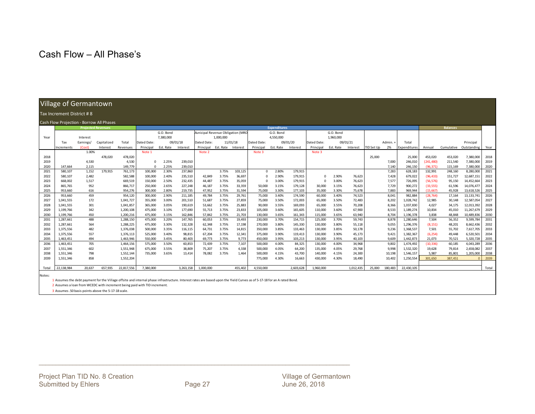### Cash Flow – All Phase's

#### Village of Germantown

#### Tax Increment District # 8

#### Cash Flow Projection ‐ Borrow All Phases

|       | Cash Tow Trojection - Dorrow All Hases |           | <b>Projected Revenues</b> |            |             | <b>Expenditures</b> |           |                                   |           |          |              |           |           |             |           |           |            |         |              | <b>Balances</b> |            |              |       |
|-------|----------------------------------------|-----------|---------------------------|------------|-------------|---------------------|-----------|-----------------------------------|-----------|----------|--------------|-----------|-----------|-------------|-----------|-----------|------------|---------|--------------|-----------------|------------|--------------|-------|
|       |                                        |           |                           |            |             | G.O. Bond           |           | Municipal Revenue Obligation (MRO |           |          |              | G.O. Bond |           |             | G.O. Bond |           |            |         |              |                 |            |              |       |
| Year  |                                        | Interest  |                           |            |             | 7,380,000           |           |                                   | 1.000.000 |          |              | 4,550,000 |           |             | 1,960,000 |           |            |         |              |                 |            |              |       |
|       | Tax                                    | Earnings/ | Capitalized               | Total      | Dated Date: | 09/01/18            |           | Dated Date:                       | 11/01/18  |          | Dated Date:  |           | 09/01/20  | Dated Date: |           | 09/01/21  |            | Admin.+ | Total        |                 |            | Principal    |       |
|       | Increments                             | (Cost)    | Interest                  | Revenues   | Principal   | Est. Rate           | Interest  | Principal                         | Est. Rate | Interest | Principal    | Est. Rate | Interest  | Principal   | Est. Rate | Interest  | TID Set Up | 2%      | Expenditures | Annual          | Cumulative | Outstanding  | Year  |
|       |                                        | 1.00%     |                           |            | Note 1      |                     |           | Note 2                            |           |          | Note 3       |           |           | Note 3      |           |           |            |         |              |                 |            |              |       |
| 2018  |                                        |           | 478.020                   | 478,020    |             |                     |           |                                   |           |          |              |           |           |             |           |           | 25,000     |         | 25,000       | 453.020         | 453,020    | 7,380,000    | 2018  |
| 2019  |                                        | 4,530     |                           | 4,530      | $\Omega$    | 2.25%               | 239,010   |                                   |           |          |              |           |           |             |           |           |            | 7,000   | 246,010      | (241, 480)      | 211,540    | 7,380,000    | 2019  |
| 2020  | 147.664                                | 2.115     |                           | 149.779    |             | 2.25%               | 239,010   |                                   |           |          |              |           |           |             |           |           |            | 7.140   | 246.150      | (96.371)        | 115.169    | 7.380.000    | 2020  |
| 2021  | 580,107                                | 1,152     | 179,915                   | 761,173    | 100,000     | 2.30%               | 237,860   |                                   | 3.75%     | 103,125  | $\mathbf{0}$ | 2.80%     | 179,915   |             |           |           |            | 7,283   | 628,183      | 132,991         | 248,160    | 8,280,000    | 2021  |
| 2022  | 580,107                                | 2,482     |                           | 582,588    | 100,000     | 2.40%               | 235,510   | 42.849                            | 3.75%     | 36,697   | $\Omega$     | 2.90%     | 179,915   | $\Omega$    | 2.90%     | 76,623    |            | 7,428   | 679.022      | (96, 433)       | 151,727    | 12,687,151   | 2022  |
| 2023  | 668,002                                | 1,517     |                           | 669,519    | 150,000     | 2.50%               | 232,435   | 44.487                            | 3.75%     | 35,059   | $\Omega$     | 3.00%     | 179,915   |             | 3.00%     | 76,623    |            | 7,577   | 726.095      | (56, 576)       | 95,150     | 14,452,664   | 2023  |
| 2024  | 865,765                                | 952       |                           | 866,717    | 250,000     | 2.65%               | 227,248   | 46,187                            | 3.75%     | 33,359   | 50,000       | 3.15%     | 179,128   | 30,000      | 3.15%     | 76,623    |            | 7,729   | 900,272      | (33, 555)       | 61,596     | 14,076,477   | 2024  |
| 2025  | 953.660                                | 616       |                           | 954,276    | 300,000     | 2.80%               | 219,735   | 47,952                            | 3.75%     | 31,594   | 75,000       | 3.30%     | 177,103   | 35,000      | 3.30%     | 75,678    |            | 7.883   | 969.944      | (15.667)        | 45.928     | 13,618,526   | 2025  |
| 2026  | 953,660                                | 459       |                           | 954,120    | 300,000     | 2.90%               | 211,185   | 49,784                            | 3.75%     | 29,761   | 75,000       | 3.40%     | 174,590   | 60,000      | 3.40%     | 74,523    |            | 8,041   | 982,884      | (28, 764)       | 17,164     | 13, 133, 741 | 2026  |
| 2027  | 1,041,555                              | 172       |                           | 1,041,727  | 355,000     | 3.00%               | 201,510   | 51,687                            | 3.75%     | 27,859   | 75,000       | 3.50%     | 172,003   | 65,000      | 3.50%     | 72,483    |            | 8,202   | 1,028,742    | 12,985          | 30,148     | 12,587,054   | 2027  |
| 2028  | 1,041,555                              | 301       |                           | 1,041,857  | 365,000     | 3.05%               | 190,619   | 53,662                            | 3.75%     | 25,883   | 90,000       | 3.55%     | 169,093   | 65,000      | 3.55%     | 70,208    |            | 8,366   | 1.037.830    | 4,027           | 34,175     | 12,013,392   | 2028  |
| 2029  | 1,199,766                              | 342       |                           | 1,200,108  | 475.000     | 3.10%               | 177.690   | 55.713                            | 3.75%     | 23.833   | 105,000      | 3.60%     | 165.605   | 110,000     | 3.60%     | 67,900    |            | 8,533   | 1.189.274    | 10.834          | 45.010     | 11,267,679   | 2029  |
| 2030  | 1,199,766                              | 450       |                           | 1,200,216  | 475,000     | 3.15%               | 162,846   | 57,842                            | 3.75%     | 21,703   | 130,000      | 3.65%     | 161,343   | 115,000     | 3.65%     | 63,940    |            | 8.704   | 1,196,378    | 3,838           | 48,848     | 10,489,836   | 2030  |
| 2031  | 1,287,661                              | 488       |                           | 1,288,150  | 475,000     | 3.20%               | 147,765   | 60.053                            | 3.75%     | 19,493   | 230,000      | 3.70%     | 154,715   | 125,000     | 3.70%     | 59,743    |            | 8.878   | 1.280.646    | 7.504           | 56,352     | 9,599,784    | 2031  |
| 2032  | 1,287,661                              | 564       |                           | 1,288,225  | 475,000     | 3.30%               | 132,328   | 62,348                            | 3.75%     | 17,198   | 270,000      | 3.80%     | 145,330   | 130,000     | 3.80%     | 55,118    |            | 9,055   | 1,296,376    | (8, 151)        | 48,201     | 8,662,436    | 2032  |
| 2033  | 1,375,556                              | 482       |                           | 1,376,038  | 500,000     | 3.35%               | 116,115   | 64.731                            | 3.75%     | 14.815   | 350,000      | 3.85%     | 133,463   | 130,000     | 3.85%     | 50,178    |            | 9.236   | 1.368.537    | 7,501           | 55,702     | 7,617,705    | 2033  |
| 2034  | 1,375,556                              | 557       |                           | 1,376,113  | 525,000     | 3.40%               | 98,815    | 67.204                            | 3.75%     | 12,341   | 375,000      | 3.90%     | 119,413   | 130,000     | 3.90%     | 45,173    |            | 9,421   | 1,382,367    | (6, 254)        | 49,448     | 6,520,501    | 2034  |
| 2035  | 1,463,451                              | 494       |                           | 1,463,946  | 550,000     | 3.45%               | 80.403    | 69,773                            | 3.75%     | 9.773    | 450,000      | 3.95%     | 103,213   | 130,000     | 3.95%     | 40,103    |            | 9.609   | 1.442.873    | 21,073          | 70,521     | 5,320,728    | 2035  |
| 2036  | 1,463,451                              | 705       |                           | 1,464,156  | 575,000     | 3.50%               | 60,853    | 72,439                            | 3.75%     | 7,107    | 500,000      | 4.00%     | 84,325    | 130,000     | 4.00%     | 34,968    |            | 9,802   | 1.474.492    | (10, 336)       | 60,185     | 4,043,289    | 2036  |
| 2037  | 1,551,346                              | 602       |                           | 1,551,948  | 675,000     | 3.55%               | 38,809    | 75,207                            | 3.75%     | 4,338    | 500,000      | 4.05%     | 64,200    | 135,000     | 4.05%     | 29,768    |            | 9,998   | 1,532,320    | 19,628          | 79,814     | 2,658,082    | 2037  |
| 2038  | 1,551,346                              | 798       |                           | 1,552,144  | 735,000     | 3.65%               | 13.414    | 78.082                            | 3.75%     | 1.464    | 500,000      | 4.15%     | 43,700    | 140,000     | 4.15%     | 24,300    |            | 10,198  | 1.546.157    | 5,987           | 85,801     | 1,205,000    | 2038  |
| 2039  | 1,551,346                              | 858       |                           | 1,552,204  |             |                     |           |                                   |           |          | 775,000      | 4.30%     | 16,663    | 430,000     | 4.30%     | 18,490    |            | 10,402  | 1,250,554    | 301.650         | 387,451    |              | 2039  |
|       |                                        |           |                           |            |             |                     |           |                                   |           |          |              |           |           |             |           |           |            |         |              |                 |            |              |       |
| Total | 22,138,984                             | 20.637    | 657.935                   | 22,817,556 | 7.380.000   |                     | 3,263,158 | 1,000,000                         |           | 455.402  | 4,550,000    |           | 2,603,628 | 1.960.000   |           | 1,012,435 | 25,000     | 180.483 | 22.430.105   |                 |            |              | Total |

Notes:

1 Assumes the debt payment for the Village offsite and internal phase infrastructure. Interest rates are based upon the Yield Curves as of 5‐17‐18 for an A rated Bond.

2 Assumes a loan from WCEDC with increment being paid with TID increment.

3 Assumes .50 basis points above the 5-17-18 scale.

\_\_\_\_\_\_\_\_\_\_\_\_\_\_\_\_\_\_\_\_\_\_\_\_\_\_\_\_\_\_\_\_\_\_\_\_\_\_\_\_\_\_\_\_\_\_\_\_\_\_\_\_\_\_\_\_\_\_\_\_\_\_\_\_\_\_\_\_\_\_\_\_\_\_\_\_\_\_\_\_\_\_\_\_\_\_\_\_\_\_\_\_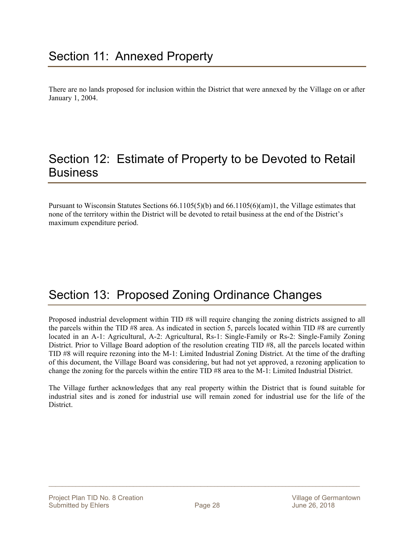There are no lands proposed for inclusion within the District that were annexed by the Village on or after January 1, 2004.

## Section 12: Estimate of Property to be Devoted to Retail **Business**

Pursuant to Wisconsin Statutes Sections 66.1105(5)(b) and 66.1105(6)(am)1, the Village estimates that none of the territory within the District will be devoted to retail business at the end of the District's maximum expenditure period.

## Section 13: Proposed Zoning Ordinance Changes

Proposed industrial development within TID #8 will require changing the zoning districts assigned to all the parcels within the TID #8 area. As indicated in section 5, parcels located within TID #8 are currently located in an A-1: Agricultural, A-2: Agricultural, Rs-1: Single-Family or Rs-2: Single-Family Zoning District. Prior to Village Board adoption of the resolution creating TID #8, all the parcels located within TID #8 will require rezoning into the M-1: Limited Industrial Zoning District. At the time of the drafting of this document, the Village Board was considering, but had not yet approved, a rezoning application to change the zoning for the parcels within the entire TID #8 area to the M-1: Limited Industrial District.

The Village further acknowledges that any real property within the District that is found suitable for industrial sites and is zoned for industrial use will remain zoned for industrial use for the life of the District.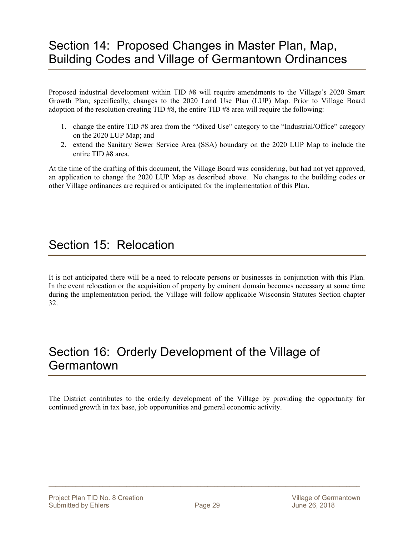## Section 14: Proposed Changes in Master Plan, Map, Building Codes and Village of Germantown Ordinances

Proposed industrial development within TID #8 will require amendments to the Village's 2020 Smart Growth Plan; specifically, changes to the 2020 Land Use Plan (LUP) Map. Prior to Village Board adoption of the resolution creating TID #8, the entire TID #8 area will require the following:

- 1. change the entire TID #8 area from the "Mixed Use" category to the "Industrial/Office" category on the 2020 LUP Map; and
- 2. extend the Sanitary Sewer Service Area (SSA) boundary on the 2020 LUP Map to include the entire TID #8 area.

At the time of the drafting of this document, the Village Board was considering, but had not yet approved, an application to change the 2020 LUP Map as described above. No changes to the building codes or other Village ordinances are required or anticipated for the implementation of this Plan.

## Section 15: Relocation

It is not anticipated there will be a need to relocate persons or businesses in conjunction with this Plan. In the event relocation or the acquisition of property by eminent domain becomes necessary at some time during the implementation period, the Village will follow applicable Wisconsin Statutes Section chapter 32.

## Section 16: Orderly Development of the Village of **Germantown**

The District contributes to the orderly development of the Village by providing the opportunity for continued growth in tax base, job opportunities and general economic activity.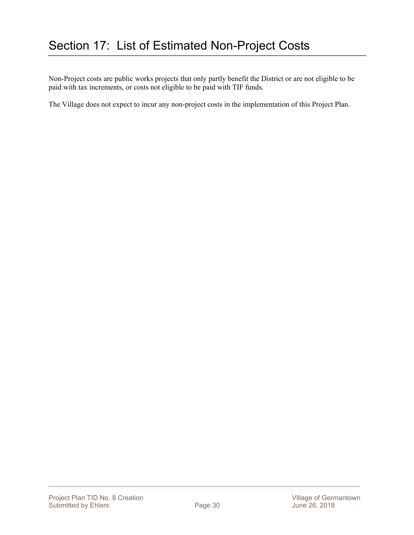Non-Project costs are public works projects that only partly benefit the District or are not eligible to be paid with tax increments, or costs not eligible to be paid with TIF funds.

The Village does not expect to incur any non-project costs in the implementation of this Project Plan.